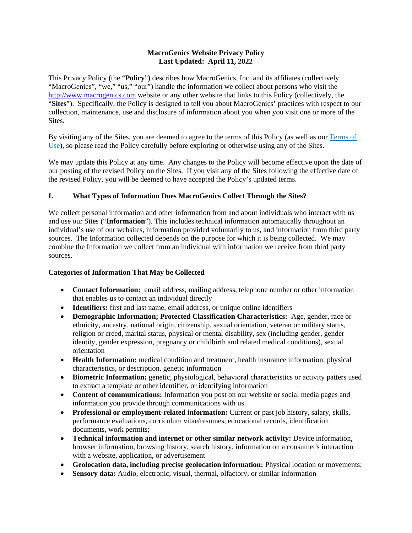### **MacroGenics Website Privacy Policy Last Updated: April 11, 2022**

This Privacy Policy (the "**Policy**") describes how MacroGenics, Inc. and its affiliates (collectively "MacroGenics", "we," "us," "our") handle the information we collect about persons who visit the [http://www.macrogenics.com](http://www.macrogenics.com/) website or any other website that links to this Policy (collectively, the "**Sites**"). Specifically, the Policy is designed to tell you about MacroGenics' practices with respect to our collection, maintenance, use and disclosure of information about you when you visit one or more of the Sites.

By visiting any of the Sites, you are deemed to agree to the terms of this Policy (as well as our Terms of Use), so please read the Policy carefully before exploring or otherwise using any of the Sites.

We may update this Policy at any time. Any changes to the Policy will become effective upon the date of our posting of the revised Policy on the Sites. If you visit any of the Sites following the effective date of the revised Policy, you will be deemed to have accepted the Policy's updated terms.

# **I. What Types of Information Does MacroGenics Collect Through the Sites?**

We collect personal information and other information from and about individuals who interact with us and use our Sites ("**Information**"). This includes technical information automatically throughout an individual's use of our websites, information provided voluntarily to us, and information from third party sources. The Information collected depends on the purpose for which it is being collected. We may combine the Information we collect from an individual with information we receive from third party sources.

## **Categories of Information That May be Collected**

- **Contact Information:** email address, mailing address, telephone number or other information that enables us to contact an individual directly
- **Identifiers:** first and last name, email address, or unique online identifiers
- **Demographic Information; Protected Classification Characteristics:** Age, gender, race or ethnicity, ancestry, national origin, citizenship, sexual orientation, veteran or military status, religion or creed, marital status, physical or mental disability, sex (including gender, gender identity, gender expression, pregnancy or childbirth and related medical conditions), sexual orientation
- **Health Information:** medical condition and treatment, health insurance information, physical characteristics, or description, genetic information
- **Biometric Information:** genetic, physiological, behavioral characteristics or activity patters used to extract a template or other identifier, or identifying information
- **Content of communications:** Information you post on our website or social media pages and information you provide through communications with us
- **Professional or employment-related information:** Current or past job history, salary, skills, performance evaluations, curriculum vitae/resumes, educational records, identification documents, work permits;
- **Technical information and internet or other similar network activity:** Device information, browser information, browsing history, search history, information on a consumer's interaction with a website, application, or advertisement
- **Geolocation data, including precise geolocation information:** Physical location or movements;
- **Sensory data:** Audio, electronic, visual, thermal, olfactory, or similar information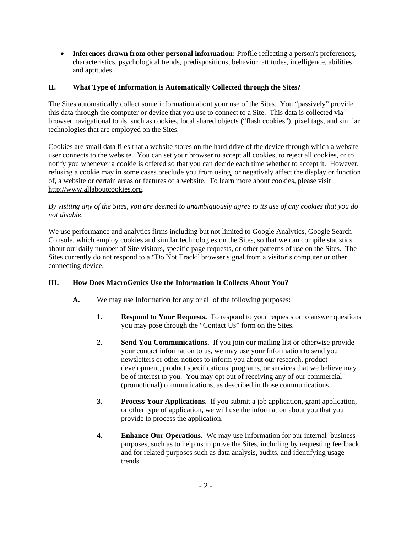• **Inferences drawn from other personal information:** Profile reflecting a person's preferences, characteristics, psychological trends, predispositions, behavior, attitudes, intelligence, abilities, and aptitudes.

## **II. What Type of Information is Automatically Collected through the Sites?**

The Sites automatically collect some information about your use of the Sites. You "passively" provide this data through the computer or device that you use to connect to a Site. This data is collected via browser navigational tools, such as cookies, local shared objects ("flash cookies"), pixel tags, and similar technologies that are employed on the Sites.

Cookies are small data files that a website stores on the hard drive of the device through which a website user connects to the website. You can set your browser to accept all cookies, to reject all cookies, or to notify you whenever a cookie is offered so that you can decide each time whether to accept it. However, refusing a cookie may in some cases preclude you from using, or negatively affect the display or function of, a website or certain areas or features of a website. To learn more about cookies, please visit http://www.allaboutcookies.org.

### *By visiting any of the Sites, you are deemed to unambiguously agree to its use of any cookies that you do not disable*.

We use performance and analytics firms including but not limited to Google Analytics, Google Search Console, which employ cookies and similar technologies on the Sites, so that we can compile statistics about our daily number of Site visitors, specific page requests, or other patterns of use on the Sites. The Sites currently do not respond to a "Do Not Track" browser signal from a visitor's computer or other connecting device.

## **III. How Does MacroGenics Use the Information It Collects About You?**

- **A.** We may use Information for any or all of the following purposes:
	- **1. Respond to Your Requests.** To respond to your requests or to answer questions you may pose through the "Contact Us" form on the Sites.
	- **2. Send You Communications.** If you join our mailing list or otherwise provide your contact information to us, we may use your Information to send you newsletters or other notices to inform you about our research, product development, product specifications, programs, or services that we believe may be of interest to you. You may opt out of receiving any of our commercial (promotional) communications, as described in those communications.
	- **3. Process Your Applications**. If you submit a job application, grant application, or other type of application, we will use the information about you that you provide to process the application.
	- **4. Enhance Our Operations**. We may use Information for our internal business purposes, such as to help us improve the Sites, including by requesting feedback, and for related purposes such as data analysis, audits, and identifying usage trends.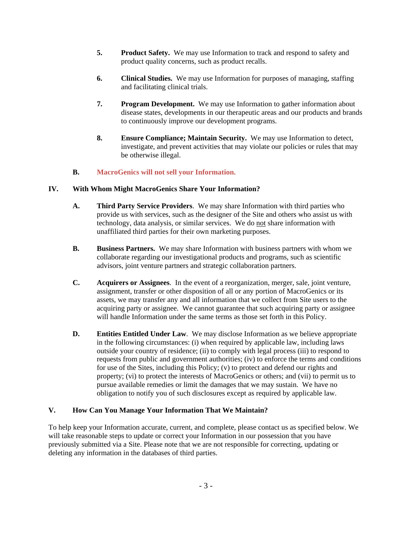- **5. Product Safety.** We may use Information to track and respond to safety and product quality concerns, such as product recalls.
- **6. Clinical Studies.** We may use Information for purposes of managing, staffing and facilitating clinical trials.
- **7. Program Development.** We may use Information to gather information about disease states, developments in our therapeutic areas and our products and brands to continuously improve our development programs.
- **8. Ensure Compliance; Maintain Security.** We may use Information to detect, investigate, and prevent activities that may violate our policies or rules that may be otherwise illegal.

## **B. MacroGenics will not sell your Information.**

### **IV. With Whom Might MacroGenics Share Your Information?**

- **A. Third Party Service Providers**. We may share Information with third parties who provide us with services, such as the designer of the Site and others who assist us with technology, data analysis, or similar services. We do not share information with unaffiliated third parties for their own marketing purposes.
- **B. Business Partners.** We may share Information with business partners with whom we collaborate regarding our investigational products and programs, such as scientific advisors, joint venture partners and strategic collaboration partners.
- **C. Acquirers or Assignees**. In the event of a reorganization, merger, sale, joint venture, assignment, transfer or other disposition of all or any portion of MacroGenics or its assets, we may transfer any and all information that we collect from Site users to the acquiring party or assignee. We cannot guarantee that such acquiring party or assignee will handle Information under the same terms as those set forth in this Policy.
- **D. Entities Entitled Under Law**. We may disclose Information as we believe appropriate in the following circumstances: (i) when required by applicable law, including laws outside your country of residence; (ii) to comply with legal process (iii) to respond to requests from public and government authorities; (iv) to enforce the terms and conditions for use of the Sites, including this Policy; (v) to protect and defend our rights and property; (vi) to protect the interests of MacroGenics or others; and (vii) to permit us to pursue available remedies or limit the damages that we may sustain. We have no obligation to notify you of such disclosures except as required by applicable law.

### **V. How Can You Manage Your Information That We Maintain?**

To help keep your Information accurate, current, and complete, please contact us as specified below. We will take reasonable steps to update or correct your Information in our possession that you have previously submitted via a Site. Please note that we are not responsible for correcting, updating or deleting any information in the databases of third parties.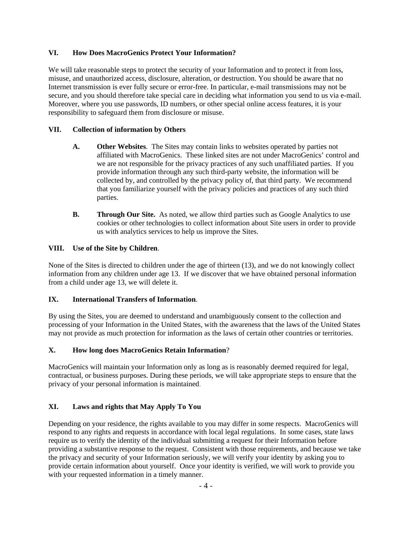### **VI. How Does MacroGenics Protect Your Information?**

We will take reasonable steps to protect the security of your Information and to protect it from loss, misuse, and unauthorized access, disclosure, alteration, or destruction. You should be aware that no Internet transmission is ever fully secure or error-free. In particular, e-mail transmissions may not be secure, and you should therefore take special care in deciding what information you send to us via e-mail. Moreover, where you use passwords, ID numbers, or other special online access features, it is your responsibility to safeguard them from disclosure or misuse.

### **VII. Collection of information by Others**

- **A. Other Websites**. The Sites may contain links to websites operated by parties not affiliated with MacroGenics. These linked sites are not under MacroGenics' control and we are not responsible for the privacy practices of any such unaffiliated parties. If you provide information through any such third-party website, the information will be collected by, and controlled by the privacy policy of, that third party. We recommend that you familiarize yourself with the privacy policies and practices of any such third parties.
- **B. Through Our Site.** As noted, we allow third parties such as Google Analytics to use cookies or other technologies to collect information about Site users in order to provide us with analytics services to help us improve the Sites.

### **VIII. Use of the Site by Children**.

None of the Sites is directed to children under the age of thirteen (13), and we do not knowingly collect information from any children under age 13. If we discover that we have obtained personal information from a child under age 13, we will delete it.

#### **IX. International Transfers of Information**.

By using the Sites, you are deemed to understand and unambiguously consent to the collection and processing of your Information in the United States, with the awareness that the laws of the United States may not provide as much protection for information as the laws of certain other countries or territories.

## **X. How long does MacroGenics Retain Information**?

MacroGenics will maintain your Information only as long as is reasonably deemed required for legal, contractual, or business purposes. During these periods, we will take appropriate steps to ensure that the privacy of your personal information is maintained.

## **XI. Laws and rights that May Apply To You**

Depending on your residence, the rights available to you may differ in some respects. MacroGenics will respond to any rights and requests in accordance with local legal regulations. In some cases, state laws require us to verify the identity of the individual submitting a request for their Information before providing a substantive response to the request. Consistent with those requirements, and because we take the privacy and security of your Information seriously, we will verify your identity by asking you to provide certain information about yourself. Once your identity is verified, we will work to provide you with your requested information in a timely manner.